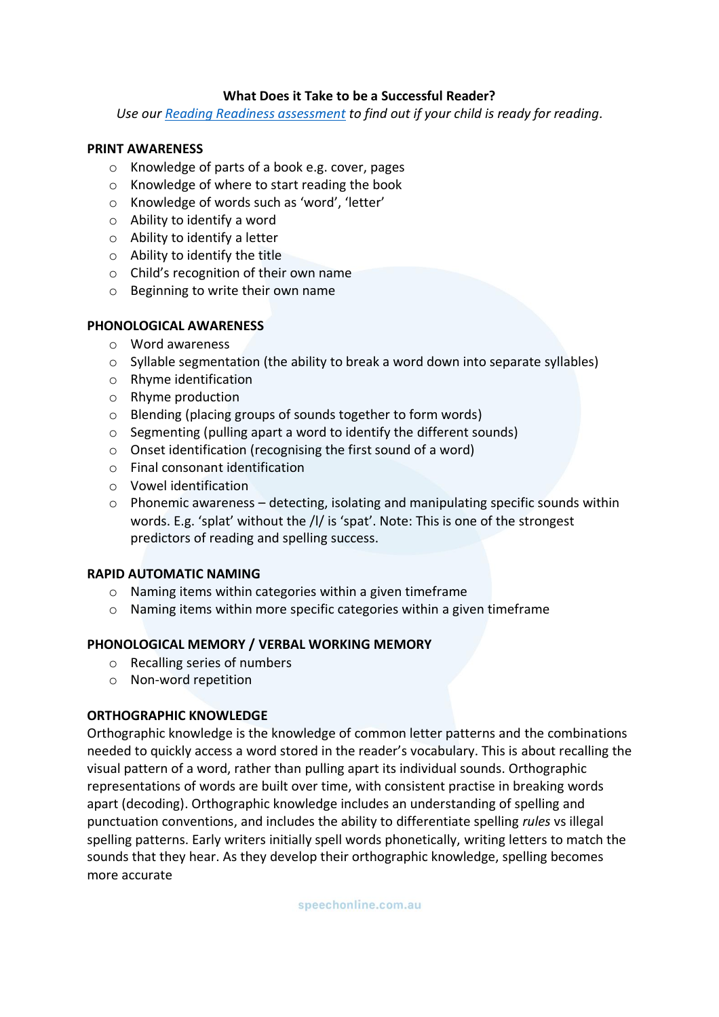# **What Does it Take to be a Successful Reader?**

*Use our [Reading Readiness assessment](https://speechonline.com.au/wp-content/uploads/2018/09/Reading-Readiness-Checklist-website.pdf) to find out if your child is ready for reading.*

### **PRINT AWARENESS**

- o Knowledge of parts of a book e.g. cover, pages
- o Knowledge of where to start reading the book
- o Knowledge of words such as 'word', 'letter'
- o Ability to identify a word
- o Ability to identify a letter
- o Ability to identify the title
- o Child's recognition of their own name
- o Beginning to write their own name

### **PHONOLOGICAL AWARENESS**

- o Word awareness
- o Syllable segmentation (the ability to break a word down into separate syllables)
- o Rhyme identification
- o Rhyme production
- o Blending (placing groups of sounds together to form words)
- o Segmenting (pulling apart a word to identify the different sounds)
- o Onset identification (recognising the first sound of a word)
- o Final consonant identification
- o Vowel identification
- o Phonemic awareness detecting, isolating and manipulating specific sounds within words. E.g. 'splat' without the /l/ is 'spat'. Note: This is one of the strongest predictors of reading and spelling success.

### **RAPID AUTOMATIC NAMING**

- o Naming items within categories within a given timeframe
- o Naming items within more specific categories within a given timeframe

### **PHONOLOGICAL MEMORY / VERBAL WORKING MEMORY**

- o Recalling series of numbers
- o Non-word repetition

### **ORTHOGRAPHIC KNOWLEDGE**

Orthographic knowledge is the knowledge of common letter patterns and the combinations needed to quickly access a word stored in the reader's vocabulary. This is about recalling the visual pattern of a word, rather than pulling apart its individual sounds. Orthographic representations of words are built over time, with consistent practise in breaking words apart (decoding). Orthographic knowledge includes an understanding of spelling and punctuation conventions, and includes the ability to differentiate spelling *rules* vs illegal spelling patterns. Early writers initially spell words phonetically, writing letters to match the sounds that they hear. As they develop their orthographic knowledge, spelling becomes more accurate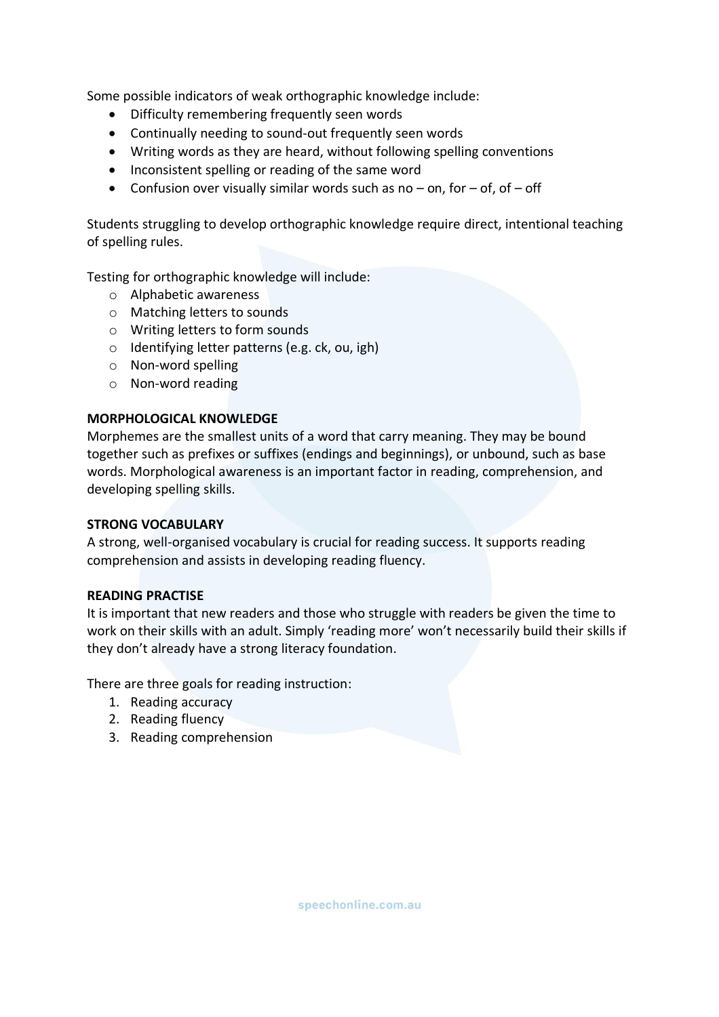Some possible indicators of weak orthographic knowledge include:

- Difficulty remembering frequently seen words
- Continually needing to sound-out frequently seen words
- Writing words as they are heard, without following spelling conventions
- Inconsistent spelling or reading of the same word
- Confusion over visually similar words such as no  $-$  on, for  $-$  of, of  $-$  off

Students struggling to develop orthographic knowledge require direct, intentional teaching of spelling rules.

Testing for orthographic knowledge will include:

- o Alphabetic awareness
- o Matching letters to sounds
- o Writing letters to form sounds
- o Identifying letter patterns (e.g. ck, ou, igh)
- o Non-word spelling
- o Non-word reading

## **MORPHOLOGICAL KNOWLEDGE**

Morphemes are the smallest units of a word that carry meaning. They may be bound together such as prefixes or suffixes (endings and beginnings), or unbound, such as base words. Morphological awareness is an important factor in reading, comprehension, and developing spelling skills.

### **STRONG VOCABULARY**

A strong, well-organised vocabulary is crucial for reading success. It supports reading comprehension and assists in developing reading fluency.

### **READING PRACTISE**

It is important that new readers and those who struggle with readers be given the time to work on their skills with an adult. Simply 'reading more' won't necessarily build their skills if they don't already have a strong literacy foundation.

There are three goals for reading instruction:

- 1. Reading accuracy
- 2. Reading fluency
- 3. Reading comprehension